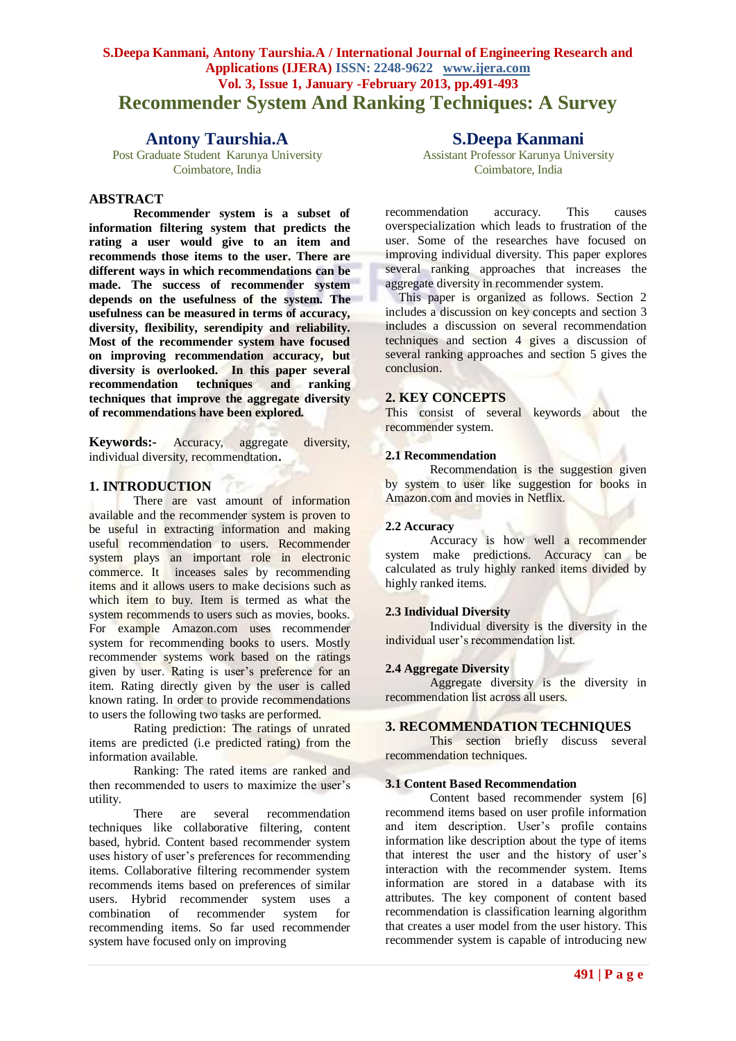# **S.Deepa Kanmani, Antony Taurshia.A / International Journal of Engineering Research and Applications (IJERA) ISSN: 2248-9622 www.ijera.com Vol. 3, Issue 1, January -February 2013, pp.491-493 Recommender System And Ranking Techniques: A Survey**

# **Antony Taurshia.A**

Post Graduate Student Karunya University Coimbatore, India

# **ABSTRACT**

**Recommender system is a subset of information filtering system that predicts the rating a user would give to an item and recommends those items to the user. There are different ways in which recommendations can be made. The success of recommender system depends on the usefulness of the system. The usefulness can be measured in terms of accuracy, diversity, flexibility, serendipity and reliability. Most of the recommender system have focused on improving recommendation accuracy, but diversity is overlooked. In this paper several recommendation techniques and ranking techniques that improve the aggregate diversity of recommendations have been explored.**

**Keywords:-** Accuracy, aggregate diversity, individual diversity, recommendtation**.**

Type.

# **1. INTRODUCTION**

There are vast amount of information available and the recommender system is proven to be useful in extracting information and making useful recommendation to users. Recommender system plays an important role in electronic commerce. It inceases sales by recommending items and it allows users to make decisions such as which item to buy. Item is termed as what the system recommends to users such as movies, books. For example Amazon.com uses recommender system for recommending books to users. Mostly recommender systems work based on the ratings given by user. Rating is user's preference for an item. Rating directly given by the user is called known rating. In order to provide recommendations to users the following two tasks are performed.

Rating prediction: The ratings of unrated items are predicted (i.e predicted rating) from the information available.

Ranking: The rated items are ranked and then recommended to users to maximize the user's utility.

There are several recommendation techniques like collaborative filtering, content based, hybrid. Content based recommender system uses history of user's preferences for recommending items. Collaborative filtering recommender system recommends items based on preferences of similar users. Hybrid recommender system uses a combination of recommender system for recommending items. So far used recommender system have focused only on improving

# **S.Deepa Kanmani**

Assistant Professor Karunya University Coimbatore, India

recommendation accuracy. This causes overspecialization which leads to frustration of the user. Some of the researches have focused on improving individual diversity. This paper explores several ranking approaches that increases the aggregate diversity in recommender system.

This paper is organized as follows. Section 2 includes a discussion on key concepts and section 3 includes a discussion on several recommendation techniques and section 4 gives a discussion of several ranking approaches and section 5 gives the conclusion.

# **2. KEY CONCEPTS**

This consist of several keywords about the recommender system.

#### **2.1 Recommendation**

Recommendation is the suggestion given by system to user like suggestion for books in Amazon.com and movies in Netflix.

#### **2.2 Accuracy**

Accuracy is how well a recommender system make predictions. Accuracy can be calculated as truly highly ranked items divided by highly ranked items.

# **2.3 Individual Diversity**

Individual diversity is the diversity in the individual user's recommendation list.

#### **2.4 Aggregate Diversity**

Aggregate diversity is the diversity in recommendation list across all users.

## **3. RECOMMENDATION TECHNIQUES**

This section briefly discuss several recommendation techniques.

#### **3.1 Content Based Recommendation**

Content based recommender system [6] recommend items based on user profile information and item description. User's profile contains information like description about the type of items that interest the user and the history of user's interaction with the recommender system. Items information are stored in a database with its attributes. The key component of content based recommendation is classification learning algorithm that creates a user model from the user history. This recommender system is capable of introducing new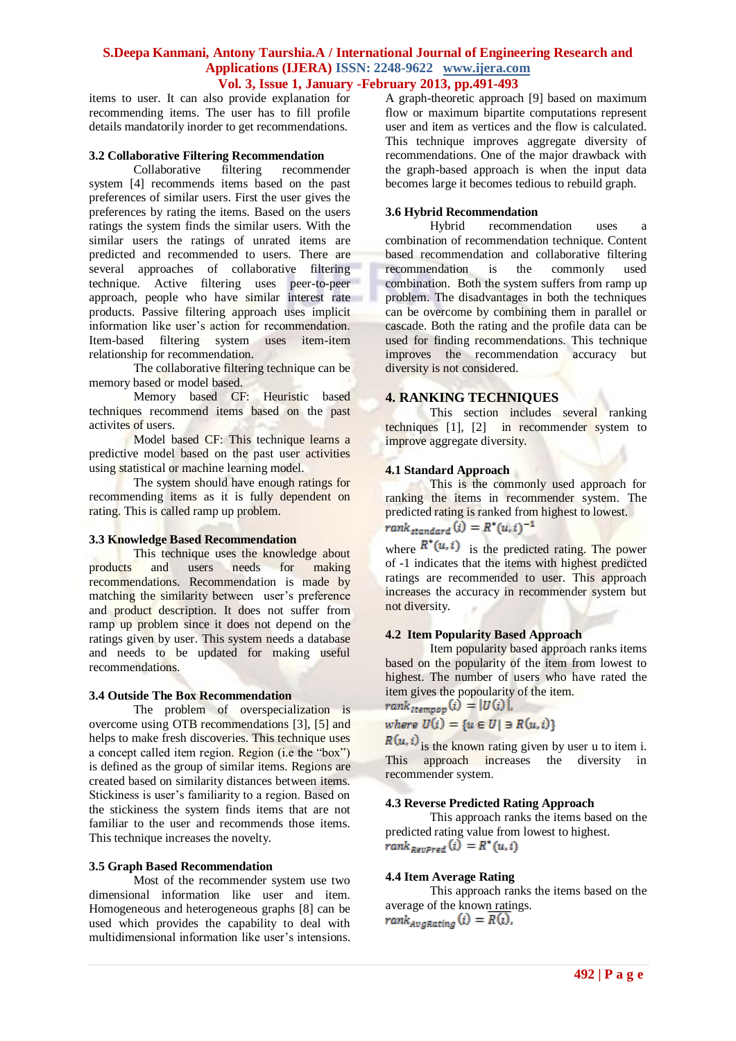# **S.Deepa Kanmani, Antony Taurshia.A / International Journal of Engineering Research and Applications (IJERA) ISSN: 2248-9622 www.ijera.com Vol. 3, Issue 1, January -February 2013, pp.491-493**

items to user. It can also provide explanation for recommending items. The user has to fill profile details mandatorily inorder to get recommendations.

#### **3.2 Collaborative Filtering Recommendation**

Collaborative filtering recommender system [4] recommends items based on the past preferences of similar users. First the user gives the preferences by rating the items. Based on the users ratings the system finds the similar users. With the similar users the ratings of unrated items are predicted and recommended to users. There are several approaches of collaborative filtering technique. Active filtering uses peer-to-peer approach, people who have similar interest rate products. Passive filtering approach uses implicit information like user's action for recommendation. Item-based filtering system uses item-item relationship for recommendation.

The collaborative filtering technique can be memory based or model based.

Memory based CF: Heuristic based techniques recommend items based on the past activites of users.

Model based CF: This technique learns a predictive model based on the past user activities using statistical or machine learning model.

The system should have enough ratings for recommending items as it is fully dependent on rating. This is called ramp up problem.

# **3.3 Knowledge Based Recommendation**

This technique uses the knowledge about products and users needs for making recommendations. Recommendation is made by matching the similarity between user's preference and product description. It does not suffer from ramp up problem since it does not depend on the ratings given by user. This system needs a database and needs to be updated for making useful recommendations.

#### **3.4 Outside The Box Recommendation**

The problem of overspecialization is overcome using OTB recommendations [3], [5] and helps to make fresh discoveries. This technique uses a concept called item region. Region (i.e the "box") is defined as the group of similar items. Regions are created based on similarity distances between items. Stickiness is user's familiarity to a region. Based on the stickiness the system finds items that are not familiar to the user and recommends those items. This technique increases the novelty.

#### **3.5 Graph Based Recommendation**

Most of the recommender system use two dimensional information like user and item. Homogeneous and heterogeneous graphs [8] can be used which provides the capability to deal with multidimensional information like user's intensions. A graph-theoretic approach [9] based on maximum flow or maximum bipartite computations represent user and item as vertices and the flow is calculated. This technique improves aggregate diversity of recommendations. One of the major drawback with the graph-based approach is when the input data becomes large it becomes tedious to rebuild graph.

# **3.6 Hybrid Recommendation**

recommendation uses a combination of recommendation technique. Content based recommendation and collaborative filtering recommendation is the commonly used combination. Both the system suffers from ramp up problem. The disadvantages in both the techniques can be overcome by combining them in parallel or cascade. Both the rating and the profile data can be used for finding recommendations. This technique improves the recommendation accuracy but diversity is not considered.

## **4. RANKING TECHNIQUES**

This section includes several ranking techniques [1], [2] in recommender system to improve aggregate diversity.

#### **4.1 Standard Approach**

This is the commonly used approach for ranking the items in recommender system. The predicted rating is ranked from highest to lowest.  $rank_{standard}(i) = R^{*}(u, i)^{-1}$ 

where  $R^*(u, i)$  is the predicted rating. The power of -1 indicates that the items with highest predicted ratings are recommended to user. This approach increases the accuracy in recommender system but not diversity.

# **4.2 Item Popularity Based Approach**

Item popularity based approach ranks items based on the popularity of the item from lowest to highest. The number of users who have rated the item gives the popoularity of the item.<br>rank<sub>*Itempop*</sub> $(i) = |U(i)|$ ,

where  $U(i) = \{u \in U | \exists R(u, i)\}\$ 

 $R(u, i)$  is the known rating given by user u to item i. This approach increases the diversity in recommender system.

#### **4.3 Reverse Predicted Rating Approach**

This approach ranks the items based on the predicted rating value from lowest to highest.<br>rank  $_{RevPred}(i) = R^*(u, i)$ 

#### **4.4 Item Average Rating**

This approach ranks the items based on the average of the known ratings. $rank_{Avabating}(i) = \overline{R(i)},$